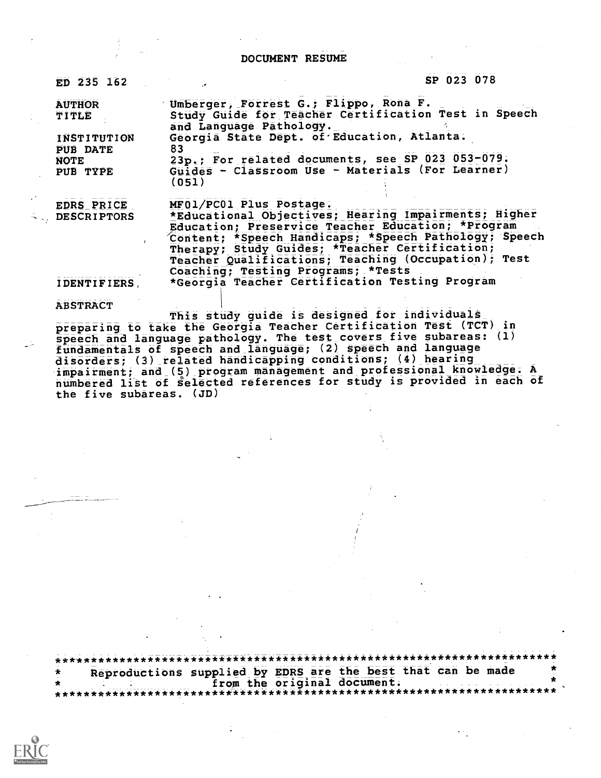#### DOCUMENT RESUME

| ED 235 162              | SP 023 078                                                                                                 |
|-------------------------|------------------------------------------------------------------------------------------------------------|
| <b>AUTHOR</b>           | Umberger, Forrest G.; Flippo, Rona F.                                                                      |
| TITLE                   | Study Guide for Teacher Certification Test in Speech<br>and Language Pathology.                            |
| INSTITUTION<br>PUB DATE | Georgia State Dept. of Education, Atlanta.<br>83                                                           |
| <b>NOTE</b>             | 23p.; For related documents, see SP 023 053-079.                                                           |
| PUB TYPE                | Guides - Classroom Use - Materials (For Learner)<br>(051)                                                  |
| EDRS PRICE              | MF01/PC01 Plus Postage.                                                                                    |
| <b>DESCRIPTORS</b>      | *Educational Objectives; Hearing Impairments; Higher                                                       |
|                         | Education; Preservice Teacher Education; *Program<br>Content; *Speech Handicaps; *Speech Pathology; Speech |
|                         | Therapy; Study Guides; *Teacher Certification;                                                             |
|                         | Teacher Qualifications; Teaching (Occupation); Test                                                        |
|                         | Coaching; Testing Programs; *Tests                                                                         |
| <b>IDENTIFIERS</b>      | *Georgia Teacher Certification Testing Program                                                             |
| <b>ABSTRACT</b>         | <u>հասկա աստեսությունը ու զոր պես զատապեր գուրի զավգությալ ազա</u>                                         |
|                         |                                                                                                            |

This study guide is designed for individuals preparing to take the Georgia Teacher Certification Test (TCT) in speech and language pathology. The test covers five subareas: (1) fundamentals of speech and language; (2) speech and language disorders; (3) related handicapping conditions; (4) hearing impairment; and (5) program management and professional knowledge. A numbered list of selected references for study is provided in each of the five subareas. (JD)

\*\*\*'\*\*\*\*\*\*\*\*\*\*\*\*\*\*\*\*\*\*\*\*\*\*\*\*\*\*\*\*\*\*\*\*\*\*\*\*\*\*\*\*\*\*\*\*\*\*\*\*\*\*\*\*\*\*\*\*\*\*\*\*\*\*\*\*\*\*\*\* Reproductions supplied by EDRS are the best that can be made<br>from the original document. from the original document. \*\*\*\*\*\*\*\*\*\*\*\*\*\*\*\*\*\*\*\*\*\*\*\*\*\*\*\*\*\*\*\*\*\*\*\*\*\*\*\*\*\*\*\*\*\*\*\*\*\*\*\*\*\*\*\*\*\*\*\*\*\*\*\*\*\*\*\*\*\*\*'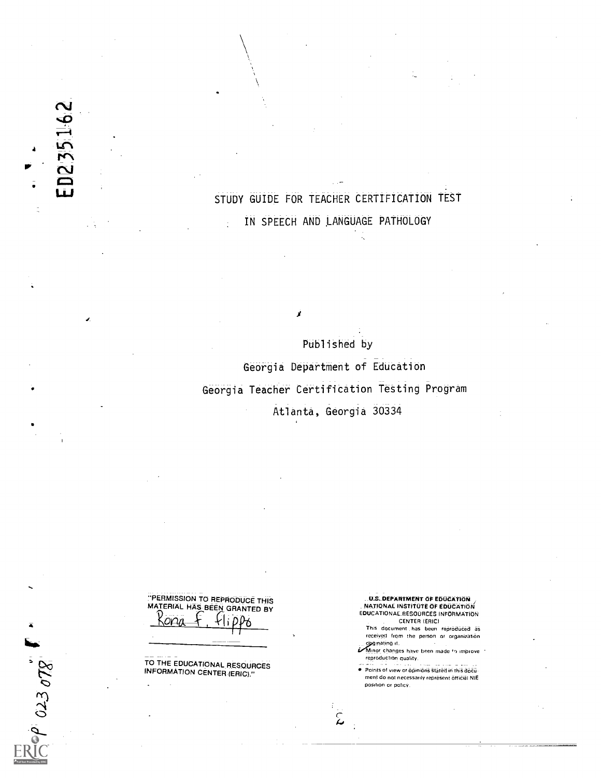STUDY GUIDE FOR TEACHER CERTIFICATION TEST IN SPEECH AND ,LANGUAGE PATHOLOGY

Published by Georgia Department of Education Georgia Teacher Certification Testing Program Atlanta, Georgia 30334

تم

 $\mathbf{I}$ 

"'PERMISSION TO REPRODUCE THIS MATERIAL HAS BEEN GRANTED BY Kona + Hippo

TO THE EDUCATIONAL RESOURCES INFORMATION CENTER(ERIC)."

\_\_.U.S\_DEPARTMENT OF EDUCATION<br>\_ NATIONAL INSTITUTE OF EDUCATION<br>EDUCATIONAL RESOURCES INFORMATION CENTER (ERIC/

This document has been reproduced as received from the person or organization

orginating it.<br>I Minor changes have been made to improve reproduction quality.

Points of view or opinions stated in this document do not necessarily represent official NIE position or policy.

 $0.23078$ 

 $\overline{4}$ 

1.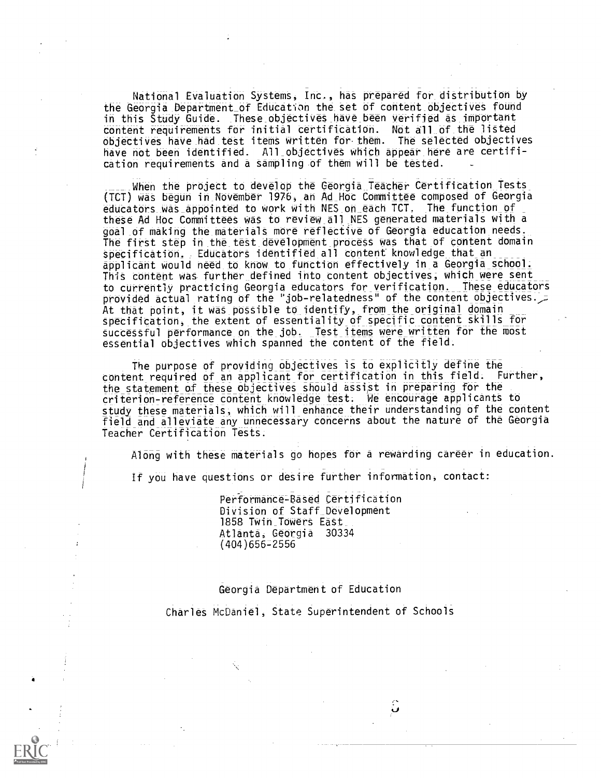National Evaluation Systems, Inc., has prepared for distribution by the Georgia Department\_of Education the set of content\_ objectives fOUnd in this Study Guide. These\_objectives\_have\_been verified as important content requirements for initial certification. Not all of the listed objectives have\_had test items written for them. The selected objectives haVe not been identified. All\_objettives which appear here are certification requirements and a sampling of them will be tested.

When the project to develop the Georgia Teacher Certification Tests (TCT) Was begun in\_November 1976,\_an Ad\_Hoc Committee composed of Georgia educators was appointed to work with NES on each TCT. The function of these Ad Hoc Committees was to review all NES generated materials with a goal\_of making the materialt more reflective of Georgia education needs. The first step in the test development process was that of content domain specification. Educators identified all content knowledge that an applicant would need to know to function effectively in a Georgia school. This content was further\_ defined into content objectives; which were sent to currently practicing Georgia educators for\_ verification. These educators provided actual rating of the "job-relatedness" of the content objectives.  $\overline{z}$ At that point, it was possible to\_identify, from the original domain specification, the extent of essentiality of specific content skills for successful performance on the\_job. Test items were written for the most essential objectives which spanned the content of the field.

The purpose of providing objectives is to explicitly define the content required of an applicant for certification in this field. Further, the statement of these objectives should assist in preparing for the criterion - reference content knowledge test; We encourage applicants to study these materials, which will enhance their understanding of the content field and alleviate any unnecessary concerns about the nature of the Georgia Teacher Certification Tests.

Along with these materials go hopes for a rewarding career in education.

If you have questions or desire further information, contact:

Performance-Based Certification Division Of Staff\_Development 1858 Twin Towers East Atlanta, Georgia 30334 (404)6562556

### Georgia Department of Education

Charles McDaniel, State Superintendent of Schools

 $\hat{\bm{\omega}}$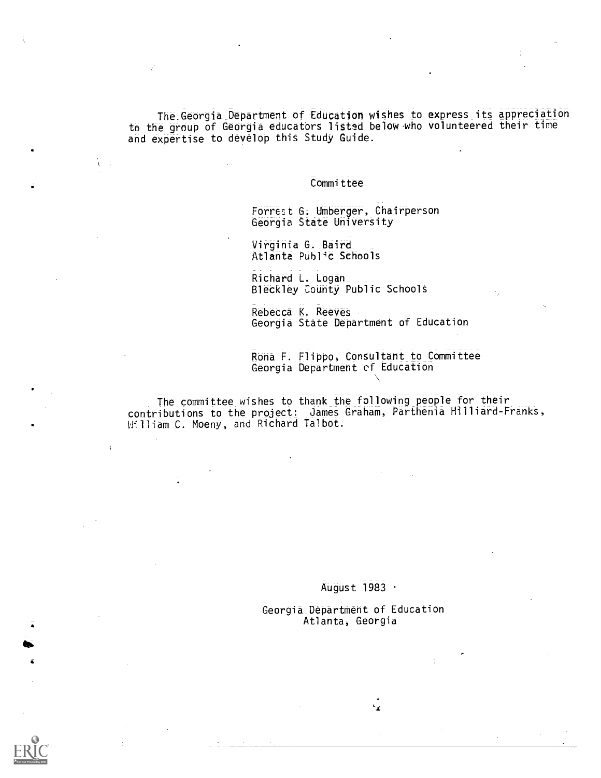The.Georgia Department of Education wishes to express its appreciation to the group of Georgia educatbrs listsd below who volunteered their time and expertise to develop this Study Guide.

#### Committee

Forrest G. Umberger, Chairperson Georgia State University

Virginia G. Baird Atlanta Public Schools

Richard L. Logan Bledkley County Public Schools

Rebecca K. Reeves Georgia State Department of Education

Rona F. Flippo, Consultant to Committee Georgia Department of Education

The committee wishes to thank the following people for their Contributions to the project: James Graham, Parthenia Hilliard-Franks, William C. Moeny, and Richard Talbot.

## AUgust 1983

Georgia Department of Education Atlanta, Georgia

 $\epsilon_{\mathbf{r}}$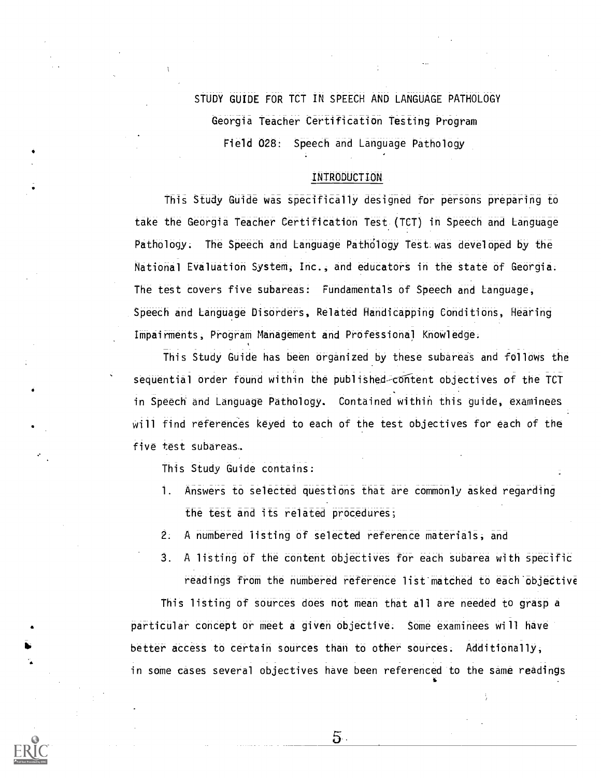STUDY GUIDE FOR TCT IN SPEECH AND LANGUAGE PATHOLOGY Georgia Teacher Certification Testing Program Field 028: Speech and Language Pathology

#### INTRODUCTION

This Study Guide was specifically designed for persons preparing to take the Georgia Teacher Certification Test (TCT) in Speech and Language Pathology; The Speech and Language Pathdlogy Test:was developed by the National Evaluation System, Inc., and educators in the state of Georgia; The test covers five subareas: Fundamentals of Speech and Language, Speech and Language Disorders, Related Handicapping Conditions, Hearing Impairments, Program Management and Professional Knowledge;

This Study Guide has been organized by these subareas and follows the sequential order found within the published content objectives of the TCT in Speech' and Language Pathology. Contained within this guide, examinees Will find references keyed to each of the test objectives for each of the five test subareas..

This Study Guide contains:

- 1. Answers to selected questions that are commonly asked regarding the test and its related procedures;
- 2. A numbered listing of selected reference materials; and
- 3. A listing of the content objectives for each subarea with specific readings from the numbered reference list'matched to each'objective

This listing of sources does not mean that all are needed to grasp a particular concept or meet a given objective; Some examinees will have better access to certain sources than to other sources; Additionally, in some eases several objectives have been referenced to the same readings

 $5.$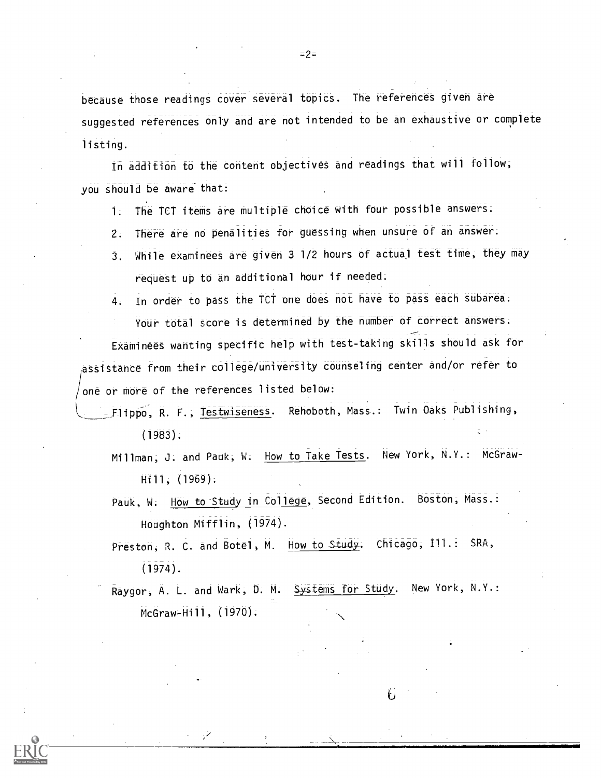because those readings cover several topics. The references given are suggested references only and are not intended to be an exhaustive or complete listing.

In addition to the content objectives and readings that will follow; you should be aware that:

1. The TCT items are multiple choice with four possible answers.

- 2. There are no penalities for guessing when unsure of an answer.
- 3. While examinees are given 3 1/2 hours of actual test time, they may request up to an additional hour if needed.

4. In order to pass the TCT one does not have to pass each subarea.

Your total score is determined by the number of correct answers:

Examinees wanting specific help with test-taking skills should ask fbr assistance from their college/university counseling center and/or refer to one or more of the references listed below:

- \_Flippo, R. F., Testwiseness. Rehoboth, Mass.: Twin Oaks Publishing, (1983).
	- Millman; J. and Pauk, W. How to Take Tests. New York, N.Y.: McGraw-Hill, (1969).
	- Pauk, W. How to Study in College, Second Edition. Boston, Mass.: Houghton Mifflin, (1974).
	- Preston, R. C. and Botel, M. How to Study. Chicago, Ill.: SRA, (1974).

Raygor, A. L. and Wark, D. M. Systems for Study. New York, N.Y.: McGraw-Hill, (1970).

F,

 $=2.7$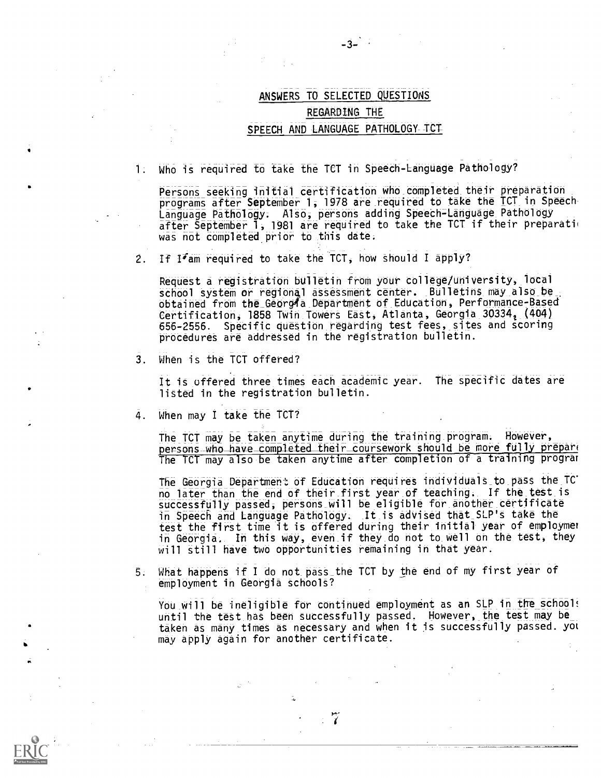# ANSWERS TO SELECTED QUESTIONS REGARDING THE SPEECH AND LANGUAGE PATHOLOGY TCT

 $-3-$ 

1. Who is required to take the TCT in Speech-Language Pathology?

Persons seeking initial certification who completed their preparation programs after September 1, 1978 are required to take the TCT in Speech Language Pathology. Also, persons adding Speech-Language Pathology after September 1, 1981 are required to take the TCT if their preparation was not completed prior to this date.

2. If  $1\sqrt{2}$  am required to take the TCT, how should I apply?

Request a registration bulletin from your college/university, local school system or regional assessment center. Bulletins may also be obtained from the Georgia Department of Education, Performance-Based Certification, 1858 Twin Towers East, Atlanta, Georgia 30334, (404) 656-2556. Specific question regarding test fees, sites and scoring procedures are addressed in the registration bulletin.

3. When is the TCT offered?

It is offered three times each academic year. The specific dates are listed in the registration bulletin.

4. When may I take the TCT?

The TCT may be taken anytime during the training\_program. However, persons who have completed their coursework should be more fully prepare The TCT may also be taken anytime after completion of a training program

The Georgia Department of Education requires individuals\_to\_pass the\_TC. no later than the end of their first year of teaching. If the test is successfully passed, persons will be eligible for another certificate in Speech and Language Pathology. \_It\_is advised that\_SLP'S take the test the first time it is offered during their initial year of employmer in Georgia. In this way, even if they do not to well on the test, they will still have two opportunities remaining in that year.

5. What happens if I do not pass the TCT by the end of my first year of employment in Georgia schools?

You will be ineligible for continued employment as an SLP in the school! until the test has been successfully passed. However, the test may be taken as many times as necessary and when it is successfully passed. yot may apply again for another certificate.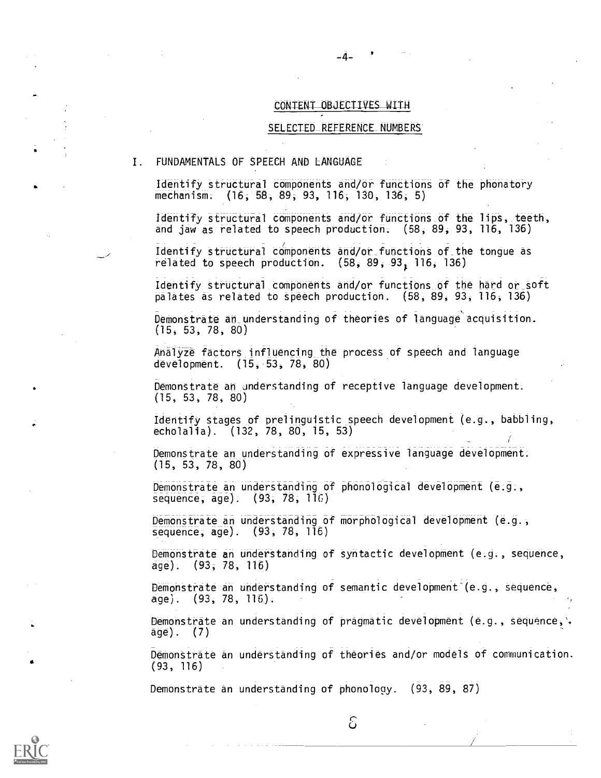## CONTENT OBJECTIVES WITH

-4-

#### SELECTED\_REFERENCE\_NUMBERS

1. FUNDAMENTALS OF SPEECH AND LANGUAGE

Identify structural components and/or functions of the phonatory mechanism. (16, 58, 89, 93, 116, 130, 136; 5)

Identify structural components and/or functions of the lips, teeth, and jaw as related to speech production. (58, 89, 93, 116, 136)

 $\bar{I}$ dentify structural components and/or functions of the tongue as related to speech production.  $(58, 89, 93, 116, 136)$ 

Identify structural components and/or functions of the hard or soft palates as related to speech production. (58, 89, 93, 116, 136)

Demonstrate an- understanding of theories of language acquisition. (15, 53, 78, 80)

Analyze factors influencing the process of speech and language development. (15, 53, 78, 80)

Demonstrate an understanding of receptive language development. (15, 53, 78, 80)

Identify stages of prelinguistic speech development (e.g., babbling, echolalia). (132, 78, 80, 15, 53)

Demonstrate an understanding of expressive language development. (15, 53, 78, 80)

Demonstrate an understanding of phonological development (e.g., sequence; age). (93; 78; 116)

Demonstrate an understanding of morphological development (e.g., sequence, age). (93, 78, 116)

Demonstrate an understanding of syntactic development (e.g., sequence, age): (93; 78, 116)

Demonstrate an understanding of semantic development (e.g., sequence, age). (93, 78, 116).

Demonstrate an understanding of pragmatic development (e.g., sequence, . age). (7)

Demonstrate an underStanding of theories and/or models of communication. (93, 116)

Demonstrate an understanding of phonology. (93, 89, 87)



C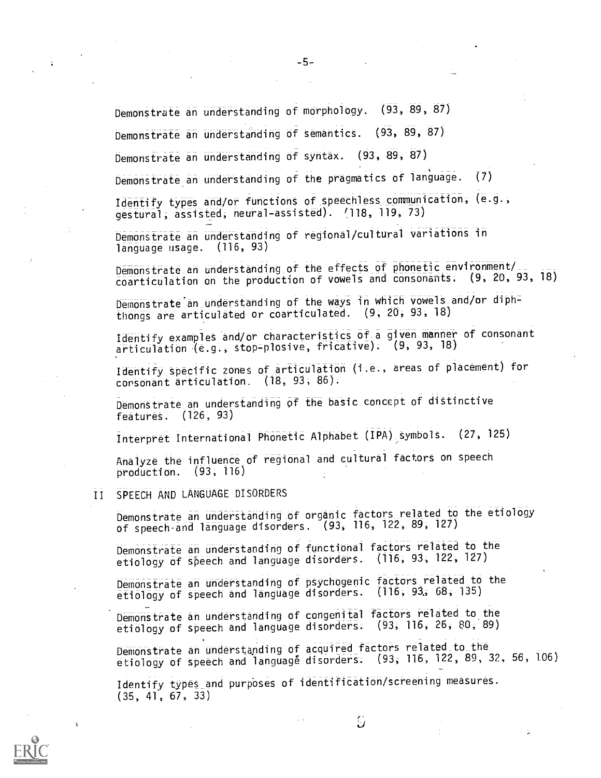Demonstrate an understanding of morphology. (93, 89, 87)

Demonstrate an understanding of semantics. (93, 89, 87)

Demonstrate an understanding of syntax. (93, 89, 87)

Demonstrate an understanding of the pragmatics of language. (7)

Identify types and/or functions of speechless communication, (e.g., gestural; assisted; neural-assisted). /118, 119, 73)

Demonstrate an understanding of regional/cultural variations in language usage. (116, 93)

Demonstrate an understanding of the effects of phonetic environment/ coarticulation on the production of vowels and consonants. (9, 20, 93, 18)

Demonstrate an understanding of the ways in which vowels and/or diphthongs are articulated or coarticulated. (9; 20, 93, 18)

Identify examples and/Or characteristics of\_a given manner of consonant articulation (e.g., stop-plosive, fricative): (9, 93, 18)

Identify specific zones of articulation ( .e., areas of placement) for corsonant articulation. (18, 93, 86).

Demonstrate an understanding of the basic concept of distinctive features. (126, 93)

Interpret International Phonetic Alphabet (IPA) symbols. (27, 125)

Analyze the influence of regional and cultural factors on speech production. (93; 116)

# II SPEECH AND LANGUAGE DISORDERS

Demonstrate an understanding of organic factors related to the etiology of speech-and language disorders. (93, 116, 122, 89; 127)

Demonstrate an understanding of functional factors related to the etiology of speech and language disorders. (116, 93, 122, 127)

Demonstrate an understanding of psychogenic factors related to the etiology of Speech and language disorders. (116, 93;; 68; 135)

Demonstrate an understanding of congenital factors related to the etiology of speech and language disorders. (93, 116, 26, 80, 89)

Demonstrate an understanding of acquired factors related\_to\_the\_ etiology of speech and language disorders. (93, 116, 122, 89, 32, 56, 106)

Identify types and purposes of identification/screening measures. (35, 41, 67, 33)



 $\epsilon$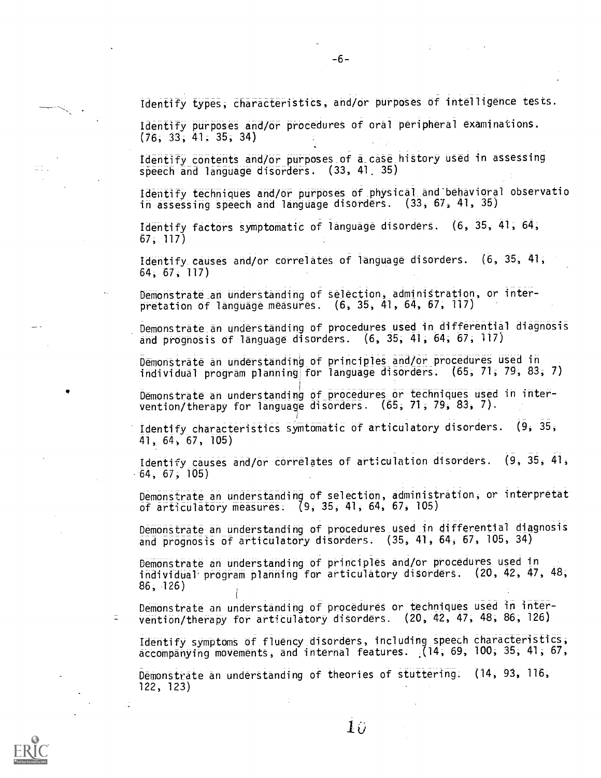Identify types; characteristics, and /or purposes of intelligence tests.

Identify purposes and/or procedures of oral peripheral examinations. (76, 33; 41, 35; 34)

Identify contents and/or purposes\_of a\_case hiStory used in assessing speech and language disorders. (33, 41: 35)

Identify techniques and/or purposes of physical and behavioral observatio in assessing speech and language disorders. (33, 67, 41, 35)

Identify factors symptomatic of language disorders. (6, 35, 41, 64, 67, 117)

Identify causes and/or correlates of language disorders. (6, 35, 41, 64, 67, 117)

Demonstrate\_an understanding of selection, adminiStration, or interpretation of language measures. (6, 35, 41, 64, 67, 117)

Demonstrate an understanding of procedures used in differential diagnosis and prognosis of lānguāgē disorders.  $(6, 35, 41, 64, 67, 117)$ 

Demonstrate an understanding of principles and/or procedures used in individual program planning for language disorders. (65, 71, 79, 83, 7)

Demonstrate an understanding of procedures or techniques used in intervention/therapy for language disOrders. (65; 71, 79, 83, 7).

Identify characteristics symtomatic of articulatory disorders. (9, 35, 41, 64; 67, 105)

Identify causes and/or correlates of articulation disorders. (9, 35, 4  $-64, 67, 105$ 

Demonstrate an understanding of selection, administration, or interpretat of articulatory measures. (9, 35, 41, 64, 67, 105)

Demonstrate an understanding of procedures\_ used in differential diagnosis and prognosis of articulatory disorders.  $(35, 41, 64, 67, 105, 34)$ 

Demonstrate an understanding of principles and/Or procedures used in individual program planning for articulatory disorders. (20, 42, 47, 48, 86,126)

DeMoriStrate an understanding of procedures or techniques used in intervention /therapy for articulatory disorders. (20, 42, 47, 48, 86, 126)

Identify symptoms of fluency\_disorders, including speech characteristics; accompanying movements, and internal features: (14; 69, 100; 35; 41; 67,

Demonstrate an understanding of theories of stuttering. (14, 93, 116, 122, 123)



 $\equiv$ 

 $-6-$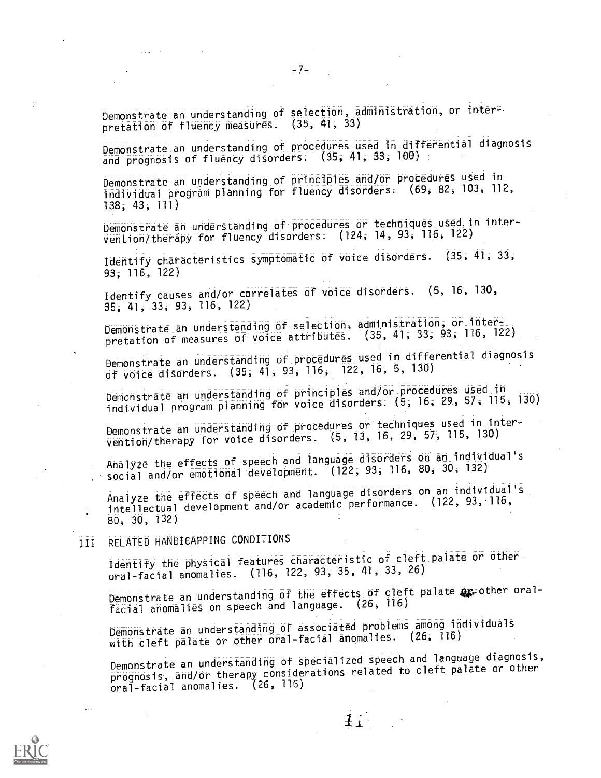Demonstrate an understanding of selection, administration, or interpretation of fluency measures. (35, 41, 33)

Demonstrate an understanding of procedures used in differential diagnosis and prognosis of fluency disorders. (35, 41, 33, 100)

Demonstrate an understanding of principles and/or procedures used in individual program planning for fluency disorders: (69, 82, 103, 112, 138, 43, 111)

Demonstrate an understanding of procedures or techniques used in intervention/therapy for fluency disorders; (124; 14, 93, 116, 122)

Identify characteristics symptomatic of voice disorders. (35, 41, 33, 93; 116, 122)

Identify causes and/or correlates of voice disorders. (5, 16, 130, 35, 41, 33, 93, 116, 122)

Demonstrate an understanding of selection, administration, or-interpretation of measures of voice attributes. (35, 41, 33, 93, 116, 122)

Demonstrate an understanding of procedures used in differential diagnosis of voice disorders. (35, 41, 93, 116, 122, 16, 5, 130)

Demonstrate an understanding of principles and/or procedures used in individual program planning for voice disorders; (5, 16; 29., 57, 115, 130)

Demonstrate an understanding of procedures or techniques used in inter<br>Comparison of the same of the same of the same of the 130) bemonstrate an understanding of the state of the case of the case of the vention/therapy for voice disorders. (5, 13, 16, 29, 57, 115, 130)

Analyze the effects of speech and language disorders on an individual's social and/or emotional development.  $(122, 93, 116, 80, 30, 132)$ 

Analyze the effects of speech and language disorders on an individual's intellectual development and/or academic performance. (122, 93,-116, 80, 30, 132)

III RELATED HANDICAPPING CONDITIONS

Identify the physical features characteristic of cleft palate or other oral-facial anomalies. (116; 122, 93, 35, 41, 33, 26)

Demonstrate an understanding of the effects of cleft palate  $\mathbf{Q}_{\mathbf{E}}$  other oralfacial anomalies on speech and language. (26, 116)

Demonstrate an understanding of associated problems among indiViduals with cleft palate or other oral-facial anomalies. (26, 116)

DemOnStrate an understanding of specialized speech and language diagnosis, prognosis, and/Or therapy considerationt related to cleft palate or other oral-facial anomalies; (26, 116)

 $\mathbf{H}$ 



 $-7-$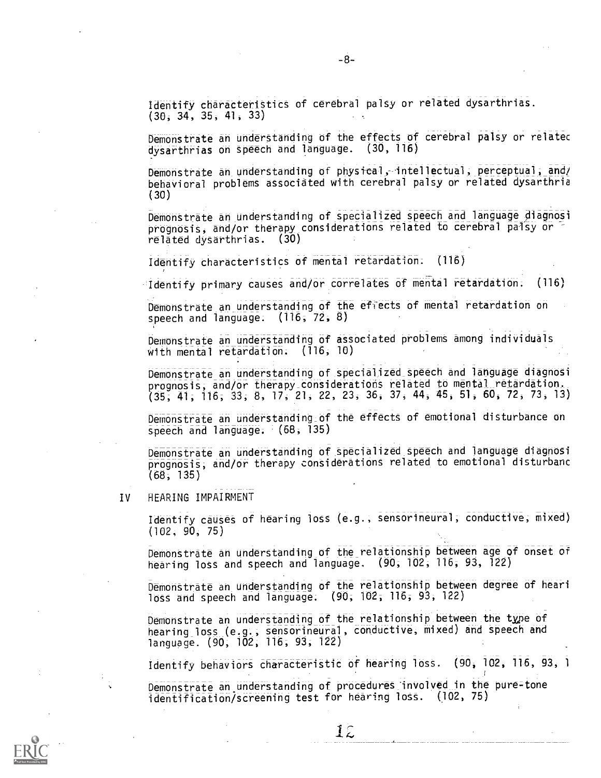Demonstrate an understanding of the effects of cerebral palsy or relatec dysarthrias on speech and language. (30, 116)

Demonstrate an understanding of physical, intellectual, perceptual, and/ behaVioral problems associated with cerebral palsy or related dysarthria (30)

Demonstrate an understanding of specialized speech and language diagnosi prognosis, and/or therapy considerations related to cerebral paisy or  $\overline{\phantom{a}}$ related dysarthrias. (30)

Identify characteristics of mental retardation: (116)

'Identify primary causes and/or correlates of mental retardation; (116)

Demonstrate an understanding of the effects of mental retardation on speech and language: (116; 72, 8)

Demonstrate an understanding of associated problems among individuals With mental retardation; (116, 10)

Demonstrate an understanding of specialized- speech and language diagnosi prognosis, and/or therapy considerations related to mental retardation. (35, 41; 116; 33, 8, 17, 21, 22, 23, 36, 37, 44, 45, 51, 60, 72, 73, 13)

Demonstrate an understanding of the effects of emotional disturbance on speech and language; (68, 135)

Demonstrate an understanding of specialized speech and language diagnosi prognosis; and/or therapy considerations related to emotional disturbanc (68, 135)

IV HEARING IMPAIRMENT

Identify causes of hearing loss (e. , sensorineural, conductive, mixed) (102, 90, 75)

Demonstrate an understanding of the relationship between age of onset of hearing loss and speech and language. (90; 102; 116; 93, 122)

Demonstrate an understanding of the relationship between degree of heari loss and speech and language: (90, 102, 116, 93, 122)

Demonstrate an understanding of the relationship between the type of hearing loss (e.g, sensorineural, conductive, mixed) and speech and language. (90, 102, 116; 93, 122)

Identify behaviors characteristic of hearing loss. (90, 102, 116, 93, 1

de la construcción

Demonstrate an understanding of procedures- inVolyed in the pure=tone identification/screening test for hearing loss. (102, 75)



12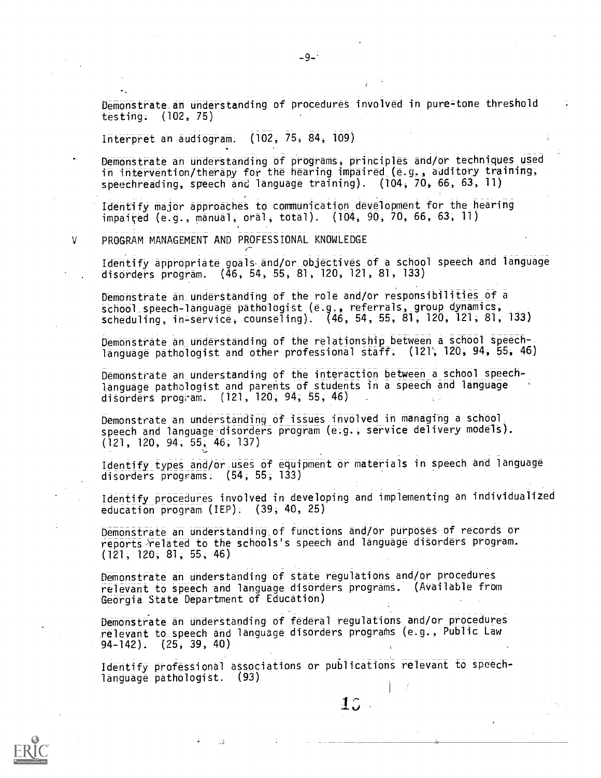Demonstrate\_an understanding of procedures involved in pure=tone threshold testing. (102, 75)

Interpret an audiogram. (102, 75, 84, 109)

Demonstrate an understanding of programs, principles and/or techniques used in intervention/therapy for the hearing impaired (e.g., auditory training, speechreading, speech and language training). (104, 70, 66, 63, 11)

Identify major approaches to communication development for the hearing impaired (e.g., manual, oral, total). (104, 90, 70, 66, 63, 11)

PROGRAM MANAGEMENT AND PROFESSIONAL KNOWLEDGE

V

Identify appropriate goals. and/or objectives of a school speech and language disorders program. (46, 54, 55, 81, 120, 121, 81, 133)

Demonstrate an understanding of the role and/or responsibilities of a school speech-language pathologist (e.g, referrals, group dynamics, scheduling, in-service, counseling). (46, 54, 55, 81; 120, 121, 81, 133)

Demonstrate an understanding of the relationship between a school speechlanguage pathologist and other professional staff; (121'; 120; 94, 55, 46)

Demonstrate an understanding of the interaction between a school speechlanguage pathologist and parents of students in a speech and language disorders program. (121, 120; 94; 55, 46) .

Demonstrate an understanding of issues involved in managing a school speech and language disorders program (e.g., service delivery models). (121, 120, 94, 55, 46, 137)

Identify types and /or -uses of equipment or materials in speech and language disorders programs:  $(54, 55, 133)$ 

Identify procedures involved in developing and implementing an individualized education program (IEP). (39, 40, 25)

Demonstrate an understanding of functions and/or purposes of records or reports)related to the schools's speech and language disorders program. (121, 120, 81, 55, 46)

Demonstrate an understanding of state regulations and/or procedures relevant to speech and language disorders programs. (Available from Georgia State Department of EdUcatiOn)

Demonstrate an understanding of federal regulations and/or procedures relevant to speech and language disorders programs (e.g., Public Law 94-142). (25, 39, 40)

Identify professional associations or publications relevant to speechlanguage pathologist. (93)

 $1.5 -$ 

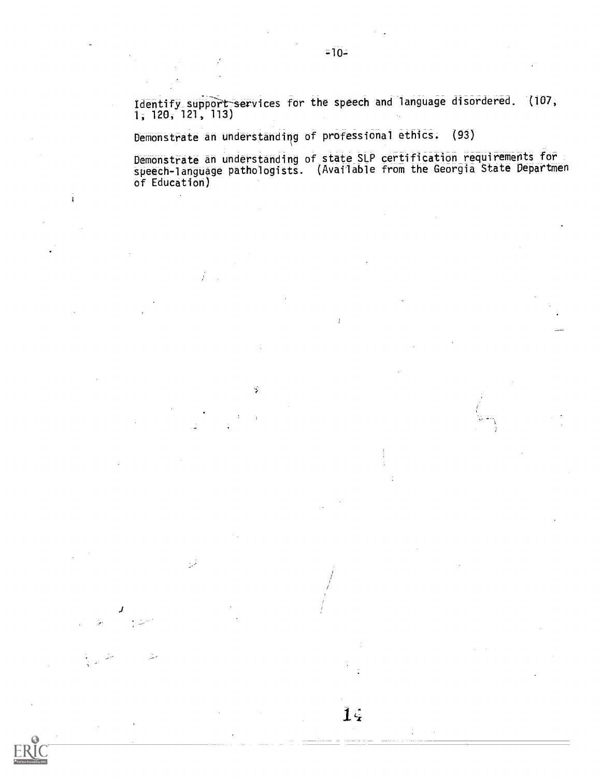${\tt Identity\_support\_services}$  for the speech and language disordered.  $\,$  (107,  $\,$ 1, 120, 121, 113)

Demonstrate an understanding of professional ethics. (93)

Ý,

 $\mathbb{R}^{\mathbb{Z}}$ 

 $\mathbf{r}$ 

Demonstrate an understanding of state SLP certification requirements for speech-language pathologists. (Available from the Georgia State Departmen of Education)

 $\overline{1}$  $\overline{4}$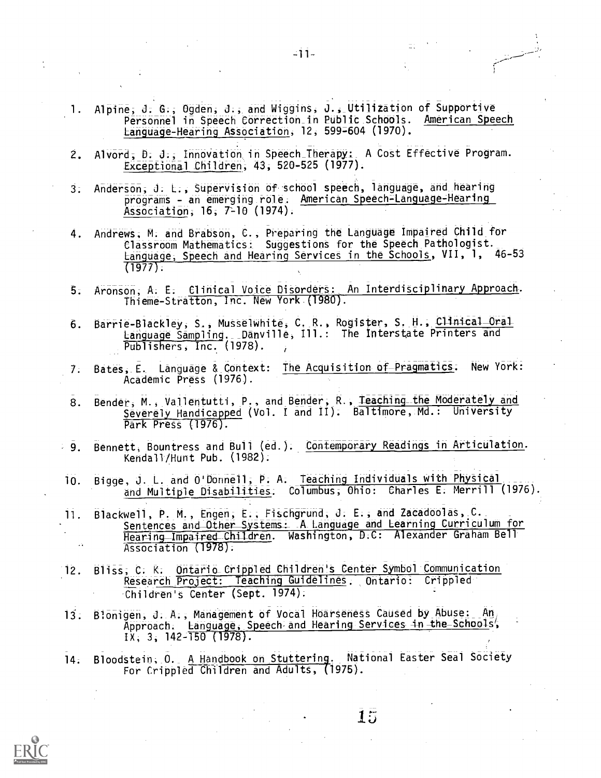- 1. Alpine, J. G., Ogden, J., and Wiggins, J., Utilization of Supportive Personnel in Speech Correction in Public Schools. American Speech Language-Hearing Association, 12, 599=604 (1970).
- 2. Alvord, D. J., Innovation in Speech\_Therapy: A Cost Effective Program. Exceptional Children, 43, 520-525 (1977).
- 3. Anderson, J. L., Supervision of school speech, language, and hearing programs - an emerging role. American Speech-Language-Hearing Association; 16; 7-10 (1974).
- 4. Andrews; M. and Brabson, C., Preparing the Language Impaired Child for Classroom Mathematics: Suggestions for the Speech Pathologist.\_ Language, Speech and Hearing Services in the Schools, VII, 1, 46-53 (1977);
- 5. Aronson, A. E. Clinical Voice Disorders: An Interdisciplinary Approach. Thieme-Stratton, Inc. New York (1980).
- 6. Barrie-Blackley, S., Musselwhite, C. R., Rogister, S. H., Clinical Oral Language Sampling. Danville, Ill.: The Interstate Printers and Publishers, Inc. (1978).
- 7. Bates, E. Language & Context: The Acquisition of Pragmatics. New York: Academic Press (1976).
- 8. Bender, M., Vallentutti, P., and Bender, R., Teaching the Moderately and Severely Handicapped (Vol. I and II). Baltimore, Md.: University Park Press (1976).
- Bennett, Bountress and Bull (ed.). Contemporary Readings in Articulation.  $-9.$ Kendall/Hunt Pub. (1982).
- 10. Bigge, J. L. and O'Donnell; P. A. Teaching Individuals with Physical and Multiple Disabilities; Columbus, Ohio: Charles E. Merrill (1976).
- 11. Blackwell, P. M., Engen, E., Fischgrund, J. E., and Zacadoolas, C. Sentences and Other Systems: .A Language and Learning Curriculum for Hearing Impaired Children. Washington, D.C: Alexander Graham Bell. Association (1978):
- 12 Bliss, C. K. Ontario Crippled Children's Center Symbol Communication Research Project: Teaching Guidelines. Ontario: Crippled Children's Center (Sept. 1974).
- Blonigen, J. A., Management of Vocal Hoarseness Caused by Abuse: An,  $13:$ Approach. Language, Speech and Hearing Services in the Schools',  $1x$ , 3, 142-150 (1978).
- 14. Bloodsteib; O. A Handbook on Stuttering. National Easter Seal Society For Crippled Children and Adults, (1975).

 $15$ 



 $-11-$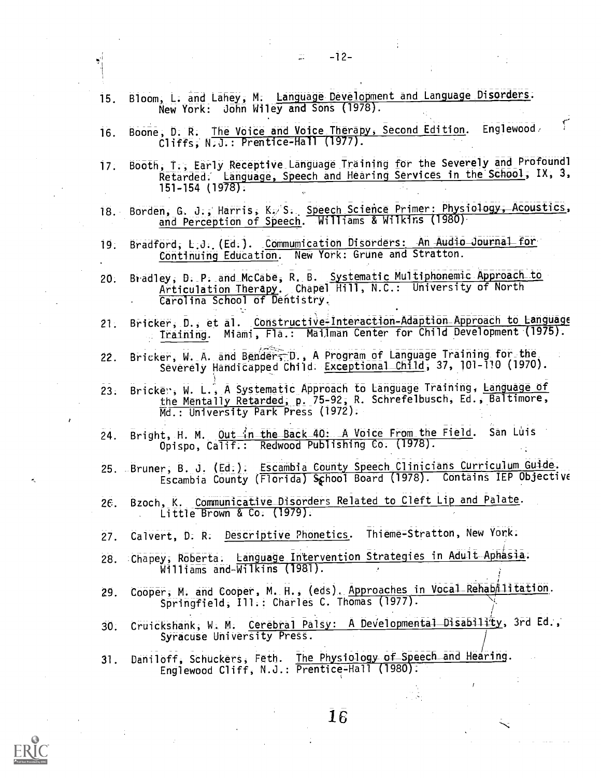|              | 15. | Bloom, L. and Lahey, M. Language Development and Language Disorders.<br>New York: John Wiley and Sons (1978).                                                                           |
|--------------|-----|-----------------------------------------------------------------------------------------------------------------------------------------------------------------------------------------|
|              | 16. | $\mathbf{f}$<br>Boone, D. R. The Voice and Voice Therapy, Second Edition. Englewood<br>Cliffs, N.J.: Prentice-Hall (1977).                                                              |
|              | 17. | Booth, T., Early Receptive Language Training for the Severely and Profoundl<br>Retarded. Language, Speech and Hearing Services in the School, IX, 3,<br>$151 - 154$ (1978).             |
|              |     | 18. Borden, G. J., Harris, K. S. Speech Science Primer: Physiology, Acoustics,<br>and Perception of Speech. Williams & Wilkins (1980)                                                   |
|              | 19. | Bradford, L.J. (Ed.). Communication Disorders: An Audio Journal for<br>Continuing Education. New York: Grune and Stratton.                                                              |
|              | 20. | Bradley, D. P. and McCabe, R. B. Systematic Multiphonemic Approach to<br>Articulation Therapy. Chapel Hill, N.C.: University of North<br>Carolina School of Dentistry.                  |
|              | 21. | Bricker, D., et al. Constructive-Interaction-Adaption Approach to Language<br>Training. Miami, Fla.: Mailman Center for Child Development (1975).                                       |
|              | 22. | Bricker, W. A. and Benders D., A Program of Language Training for the<br>Severely Handicapped Child. Exceptional Child, 37, 101-110 (1970).                                             |
| $\mathbf{r}$ |     | 23. Brickey, W. L., A Systematic Approach to Language Training, Language of<br>the Mentally Retarded, p. 75-92, R. Schrefelbusch, Ed., Baltimore,<br>Md.: University Park Press (1972). |
|              | 24. | Bright, H. M. Out in the Back 40: A Voice From the Field. San Luis<br>Opispo, Calif.: Redwood Publishing Co. (1978).                                                                    |
|              |     | 25. Bruner, B. J. (Ed.). Escambia County Speech Clinicians Curriculum Guide.<br>Escambia County (Florida) School Board (1978). Contains IEP Objective                                   |
|              | 26. | Bzoch, K. Communicative Disorders Related to Cleft Lip and Palate.<br>Little Brown & Co. (1979).                                                                                        |
|              | 27. | Calvert, D. R. Descriptive Phonetics. Thieme=Stratton, New York.                                                                                                                        |
|              |     | 28. Chapey, Roberta. Language Intervention Strategies in Adult Aphasia.<br>Williams and-Wilkins (1981).                                                                                 |
|              | 29. | Cooper, M. and Cooper, M. H., (eds). Approaches in Vocal Rehabilitation.<br>Springfield, Ill.: Charles C. Thomas (1977).                                                                |
|              | 30. | Cruickshank, W. M. Cerebral Palsy: A Developmental Disability, 3rd Ed.,<br>Syracuse University Press.                                                                                   |
|              | 31. | Daniloff, Schuckers, Feth. The Physiology of Speech and Hearing.<br>Englewood Cliff, N.J.: Prentice-Hall (1980):                                                                        |
|              |     |                                                                                                                                                                                         |
|              |     | 16                                                                                                                                                                                      |
|              |     |                                                                                                                                                                                         |

-12-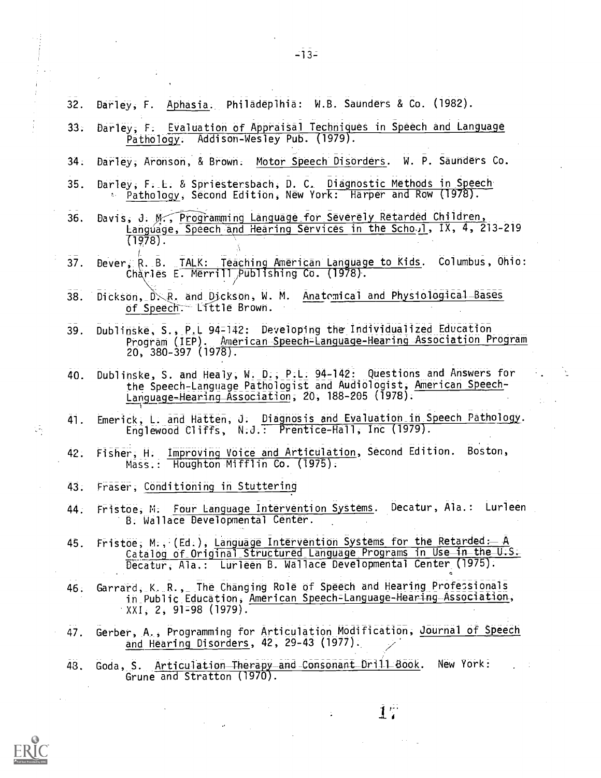| 32. | Darley, F. Aphasia. Philadeplhia: W.B. Saunders & Co. (1982).                                                                                                                                                                                                                                                                                                                                                                                                                                                                                                                                                  |
|-----|----------------------------------------------------------------------------------------------------------------------------------------------------------------------------------------------------------------------------------------------------------------------------------------------------------------------------------------------------------------------------------------------------------------------------------------------------------------------------------------------------------------------------------------------------------------------------------------------------------------|
| 33: | Darley, F. Evaluation of Appraisal Techniques in Speech and Language<br>Pathology. Addison-Wesley Pub. (1979).                                                                                                                                                                                                                                                                                                                                                                                                                                                                                                 |
| 34: | Darley, Aronson, & Brown. Motor Speech Disorders. W. P. Saunders Co.                                                                                                                                                                                                                                                                                                                                                                                                                                                                                                                                           |
| 35. | Darley, F. L. & Spriestersbach, D. C. Diagnostic Methods in Speech<br>Pathology, Second Edition, New York: Harper and Row (1978).                                                                                                                                                                                                                                                                                                                                                                                                                                                                              |
| 36. | Bavis, J. M., Programming Language for Severely Retarded Children,<br>Language, Speech and Hearing Services in the Scho.1, IX, 4, 213-219<br>$(1978)$ .                                                                                                                                                                                                                                                                                                                                                                                                                                                        |
| 37. | Dever, R. B. TALK: Teaching American Language to Kids. Columbus, Ohio:<br>Charles E. Merrill Publishing Co. (1978).                                                                                                                                                                                                                                                                                                                                                                                                                                                                                            |
| 38. | Dickson, D.R. and Dickson, W. M. Anatomical and Physiological Bases<br>of Speech. Little Brown.                                                                                                                                                                                                                                                                                                                                                                                                                                                                                                                |
| 39. | Dublinske, S., P.L 94-142: Developing the Individualized Education<br>Program (IEP). American Speech-Language-Hearing Association Program<br>$20, 380 - 397 (1978)$ .                                                                                                                                                                                                                                                                                                                                                                                                                                          |
| 40. | Dublinske, S. and Healy, W. D., P.L. 94-142: Questions and Answers for<br>the Speech-Language Pathologist and Audiologist, American Speech-<br>Language-Hearing Association, 20, 188-205 (1978).                                                                                                                                                                                                                                                                                                                                                                                                               |
| 41. | Emerick, L. and Hatten, J. Diagnosis and Evaluation in Speech Pathology.<br>Englewood Cliffs, N.J.: Prentice-Hall, Inc (1979).                                                                                                                                                                                                                                                                                                                                                                                                                                                                                 |
| 42. | Fisher, H. Improving Voice and Articulation, Second Edition. Boston,<br>Mass.: Houghton Mifflin Co. (1975).                                                                                                                                                                                                                                                                                                                                                                                                                                                                                                    |
| 43. | Fraser, Conditioning in Stuttering                                                                                                                                                                                                                                                                                                                                                                                                                                                                                                                                                                             |
| 44. | Fristoe, M. Four Language Intervention Systems. Decatur, Ala.: Lurieen<br>B. Wallace Developmental Center.                                                                                                                                                                                                                                                                                                                                                                                                                                                                                                     |
| 45. | the company of the company of the company of the company of the company of the company of the company of the company of the company of the company of the company of the company of the company of the company of the company<br>the state of the state of the state of<br>the second construction of the second construction of the second construction of the second construction of the<br>Fristoe, M., (Ed.), Language Intervention Systems for the Retarded :- A<br>Catalog of Original Structured Language Programs in Use in the U.S.<br>Decatur, Ala.: Lurleen B. Wallace Developmental Center (1975). |
| 46. | Garrard, K. R., The Changing Role of Speech and Hearing Professionals<br>in Public Education, American Speech=Language-Hearing Association,<br>∵XXI, 2, 91=98 (1979).                                                                                                                                                                                                                                                                                                                                                                                                                                          |
| 47. | Gerber, A., Programming for Articulation Modification, Journal of Speech<br>and Hearing Disorders, 42, 29-43 (1977).                                                                                                                                                                                                                                                                                                                                                                                                                                                                                           |
| 43. | Goda, S. Articulation Therapy and Consonant Drill Book.<br>New York:<br>Grune and Stratton (1970).                                                                                                                                                                                                                                                                                                                                                                                                                                                                                                             |
|     | $17^{\circ}$                                                                                                                                                                                                                                                                                                                                                                                                                                                                                                                                                                                                   |

 $\hat{\mathcal{A}}$ 



 $\begin{array}{c} \frac{1}{2} \\ \frac{1}{2} \\ \frac{1}{2} \end{array}$ 

 $\frac{1}{2}$ 

 $\frac{1}{2}$ 

 $\frac{1}{2}$  .  $\ddot{\phantom{a}}$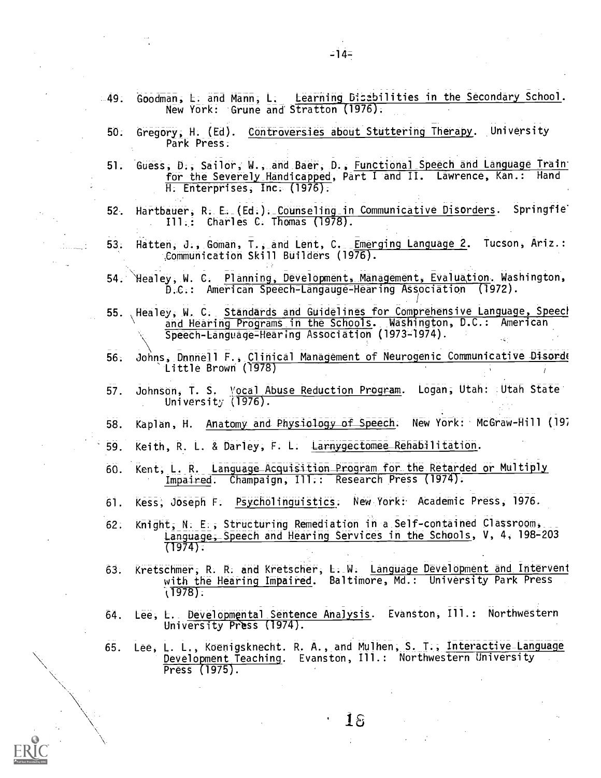- 49. Goodman, L. and Mann, L. Learning Bisabilities in the Secondary School. New York: Grune and Stratton (1976).
	- 50. Gregory, H. (Ed). Controversies about Stuttering Therapy. University Park Press.
	- 51. Guess, D., Sailor, W., and Baer, D., Functional Speech and Language Train. for the Severely- Handicapped, Part I and II. Lawrence, Kan.: Hand H. Enterprises, Inc. (1976);
	- Hartbauer, R. E. (Ed.). Counseling in Communicative Disorders. Springfie.  $52.$ III.: Charles C. Thomas (1978).
- 53. Hatten, J., Goman, T., and Lent, C. Emerging Language 2. Tucson, Ariz.: Communication Skill Builders (1976).
- 54. \Healey, W. C. Planning, Developments Management, Evaluation. Washington, D.C.: American Speech-Langauge-Hearing Association (1972).
- 55. Healey, W. C. Standards and Guidelines for Comprehensive Language, Speed and Hearing Programs in the Schools. Washington, D.C.: American Speech-Language-Hearing Association (1973-1974).
- 56. Johns, Dnnnell F., Clinical Management of Neurogenic Communicative Disord( Little Brown ('1978)
- 57. Johnson, T. S. Vocal Abuse Reduction Program. Logan, Utah: Utah State University (1976).
- 58. Kaplan, H. Anatomy and Physiology of Speech. New York: McGraw-Hill (19;
- 59. Keith, R. L. & Darley; F. L. Larnygectomee\_Rehabilitation.
- 60. Kent; L. R. Language\_AcquiSition Program for- Retarded or Multiply Impaired. Champaign, Ill.: Research Press (1974).
- 61. Kess, Joseph F. Psycholinguistics. New York: Academic Press, 1976.
- 62: Knight, N. E., Structuring Remediation in a Self-contained Classroom, Language, Speech and Hearing Services in the Schools, V, 4, 198-203 (1974).
- 63. Kretschmer, R. R. and Kretscher, L. W. Language Development and Intervent with the Hearing Impaired. Baltimore, Md.: University Park Press  $(1978)$ .
- 64. Lee, L. Developmental Sentence Analysis. Evanston, Ill.: Northwestern University Press (1974).
- 65. Lee, L. L., Koenigsknecht. R. A., and Mulhen, S. T., Interactive-Language Development Teaching. Evanston, Ill.: Northwestern University Press (1975).

6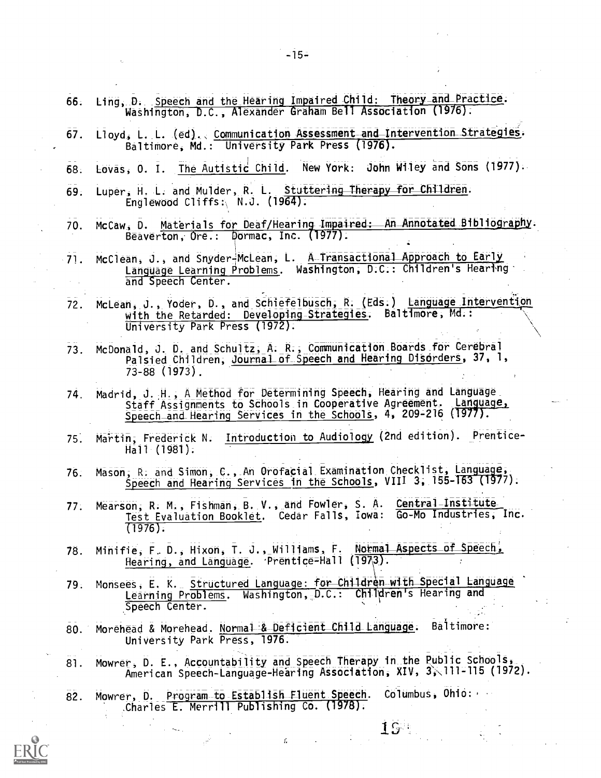- 66. Ling, D. Speech and the Hearing Impaired Child: Theory\_and\_Practice. Washington, D.C., Alexander Graham Bell Association (1976).
- 67. Lloyd, L. L. (ed). Communication Assessment and Intervention Strategies. Baltimore, Md.: University Park Press (1976).
- 68. Lovas, O. I. The Autistic Child. New York: John Wiley and Sons (1977).
- 69. Luper, H. L. and Mulder, R. L. Stuttering Therapy for Children. Englewood Cliffs:  $N.J.$  (1964).
- 70. McCaw, D. Materials for Deaf/Hearing-Impaired: An Annotated Bibliography. Beaverton, Ore.: Dormac, Inc. (1977).
- 71. McClean, J., and Snyder-McLean, L. A Transactional Approach to Early Language Learning Problems. Washington, D.C.: Children's Hearing and Speech Center.
- 72. McLean, J., Yoder, D., and Schiefelbusch; R. (Eds.) Language Intervention with the Retarded: Developing Strategies. Baltimore, Md.: University Park Press (1972).
- 73 McDonald, J. D. and Schultz, A. R., Communication\_Boards\_fer Cerebral Palsied Children; Journal\_of\_Speech and Hearing Disorders, 37, 1, 73-88 (1973).
- 74. Madrid, J. H., A Method for Determining Speech, Hearing and Language<br>Staff Assignments to Schools in Cooperative Agreement. Language, Staff Assignments to Schools in Cooperative Agreement. Speech and Hearing Services in the Schools, 4, 209-216 (1977).
- 75. Martin, Frederick N. Introduction to Audiology (2nd edition). Prentice-Hall-(1981).
- 76. Mason, R. and Simon, C., An Orofacial Examination Checklist, Language Speech and Hearing Services in the Schools, VIII 3, 155-163 (1977).
- 77. Mearson, R. M., Fishman, B. V., and Fowler, S. A. Central Institute Test Evaluation Booklet. Cedar Falls, Iowa: Go-Mo Industries, Inc. (1976).
- 78. Minifie, F. D., Hixon, T. J., Williams, F. Normal Aspects of Speech, Hearing, and Language. Prentice=Hall (1973).
- 79. Monsees, E. K. Structured Language: for Children with Special Language Learning Problems. Washington, D.C.: Children's Hearing and Speech Center.
- 80. Morehead & Morehead. Normal & Deficient Child Language. Baltimore: University Park Press, 1976.
- 81. Mowrer, D. E., Accountability and Speech Therapy in the Public Schools, American Speech-Language-Hearing Association, XIV, 3, 111-115 (1972).

**15** 

82. Mowrer, D. Program to Establish Fluent Speech. Columbus, Ohio: Charles E. Merrill Publishing Co. (1978).

r.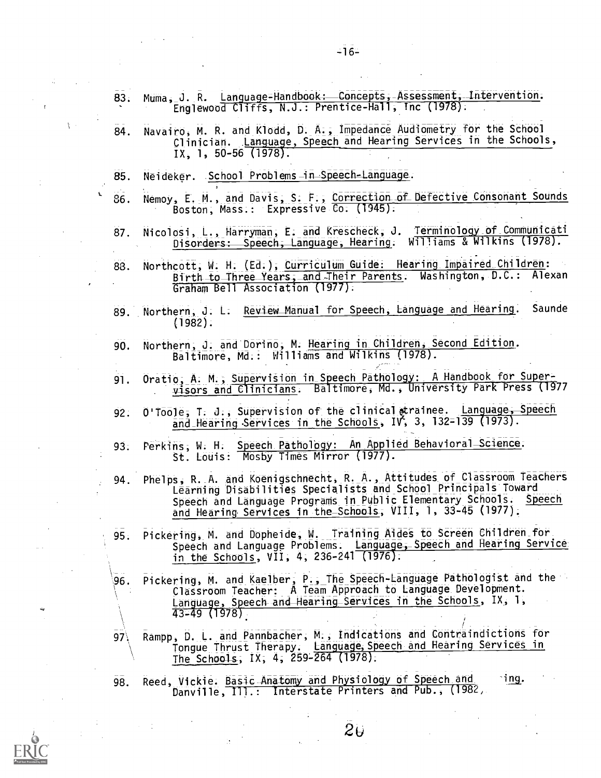- 83. Muma, J. R. Language=Handbook: Concepts, Assessment, Intervention. Englewood Cliffs, N.J.: Prentice-Hall, Inc (1978).
- 84. Navairo, M. R. and Klodd, D. A., Impedance Audiometry for the School Clinician. Language, Speech and Hearing Services in the Schools, IX, 1, 50-56 (1978).
- 85. Neideker. School Problems in Speech-Language.
- 86. Nemoy, E. M., and Davis, S. F., Correction of Defective Consonant Sounds Boston, Mass.: Expressive Co. (1945).
- 87. Nicolosi, L., Harryman, E. and Krescheck, J. Terminology of Communicati Disorders: Speech, Language, Hearing. Williams & Wilkins (1978).
- 88. Northcott, W. H. (Ed.), Curriculum Guide: Hearing Impaired Children: Birth to Three Years, and Their Parents. Washington, D.C.: Alexan Graham Bell Association (1977).
- 89. Northern, J. L. Review Manual for Speech, Language and Hearing. Saunde (1982).
- 90. Northern, J. and Dorino, M. Hearing in Children, Second Edition. Baltimore, Md.: Williams and Wilkins (1978).
- 91. Oratio, A. M., Supervision in Speech Pathology: A Handbook for Supervisors and Clinicians. Baltimore, Md., University Park Press (1977
- 92. O'Toole, T. J., Supervision of the clinical strainee. Language, Speech and Hearing Services in the Schools, IV, 3, 132-139 (1973).
- 93. Perkins, W. H. Speech Pathology: An Applied Behavioral Science. St. Louis: Mosby Times Mirror (1977).
- 94. Phelps, R. A. and Koenigschnecht, R. A., Attitudes of Classroom Teachers Learning Disabilities Specialists and School Principals Toward Speech and Language Programs in Public Elementary Schools. Speech and Hearing. Services in the-Schools, VIII, 1, 33-45 (1977).
- 95. Pickering, M. and Dopheide, W. Training Aides to Screen Children for Speech and Language Problems. Language, Speech and Hearing Service in the Schools, VII, 4, 236-241 (1976).
- Pickering, M. and Kaelber, P., The Speech-Language Pathologist and the 96. Classroom Teacher: A Team Approach to Language Development. Language, Speech and\_flearing\_Services in the Schools, IX, 1, 43-49 (1978).
- 97\ Rampp, D. L. and Pannbacher, M., Indications and Contraindictions for Tongue Thrust Therapy. Language, Speech and Hearing Services in The Schools, IX, 4, 259-264 (1978).
- 98. Reed, Vickie. Basic Anatomy and Physiology of Speech and ing. Danville, Ill.: Interstate Printers and Pub., (1982,



 $\ddot{\mathbf{t}}$ .

 $-16-$ 

 $2\sigma$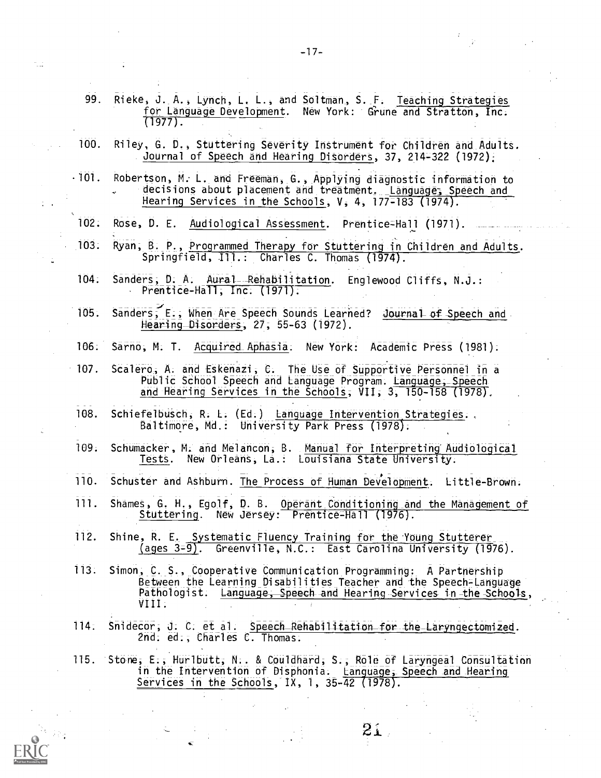- 99. Rieke, J. A., Lynch, L. L., and Soltman, S. F. Teaching Strategies for Language Development. New York: Grune and Stratton, Inc.  $(1977)$ . 100. Riley, G. D., Stuttering Severity Instrument for Children and Adults. Journal of Speech and Hearing Disorders, 37, 214-322 (1972); -101. Robertson, M: L. and Freeman, G., Applying diagnostic information to decisions about placement and treatment. Language; Speech and Hearing Services in the Schools, V, 4, 177=183 (1974). 102. Rose, D. E. Audiological Assessment. Prentice-Hall (1971). 103. Ryan, B. P, Programmed Therapy for Stuttering in Children and Adults. Springfield, Ill.: Charles C. Thomas (1974). 104. Sanders, D. A. Aural Rehabilitation. Englewood Cliffs, N.J.: Prentice -Hall; Inc. (1971). 105. Sanders; E., When Are Speech Sounds Learned? Journal of Speech and. Hearing Disorders, 27, 55-63 (1972). 106. Sarno, M. T. Acquired\_Aphasia. New York: Academic Press (1981).
- 107. Scalero, A. and Eskenazi, C. The Use of Supportive Personnel in a Public School Speech and Language Program. Language, Speech and Hearing Services in the Schools, VII, 3, 150-158 (1978).
- 108. Schiefelbusch, R. L. (Ed.) Language Intervention Strategies.,, Baltimore, Md.: University Park Press (1978).
- 109. Schumacker, M. and Melancon, B. Manual for Interpreting' Audiological Tests. New Orleans, La.: Louisiana State University.
- 110. Schuster and Ashburn. The Process of Human Development. Little-Brown.
- 111. Shames, G. H., Egolf, D. B. Operant Conditioning and the Management of Stuttering. New Jersey: Prentice-Hall (1976).
- 112. Shine, R. E. Systematic Fluency Training for the Young Stutterer (ages 3=9). Greenville, N.C.: East Carolina University (1976).
- 113. Simon, C. S., Cooperative Communication Programming: A Partnership Between the Learning Disabilities Teacher and the Speech-Language Pathologist. Language, Speech and Hearing Services in the Schools, VIII.
- 114. Snidecor, J. C. et al. Speech Rehabilitation for the Laryngectomized. 2nd. ed., Charles C. Thomas.
- 115. Stone, E., Hurlbutt, N.. & Couldhard, S., Role of Laryngeal Consultation in the Intervention of Disphonia. Language, Speech and Hearing Services in the Schools, IX, 1, 35-42 (1978).

 $21.$ 

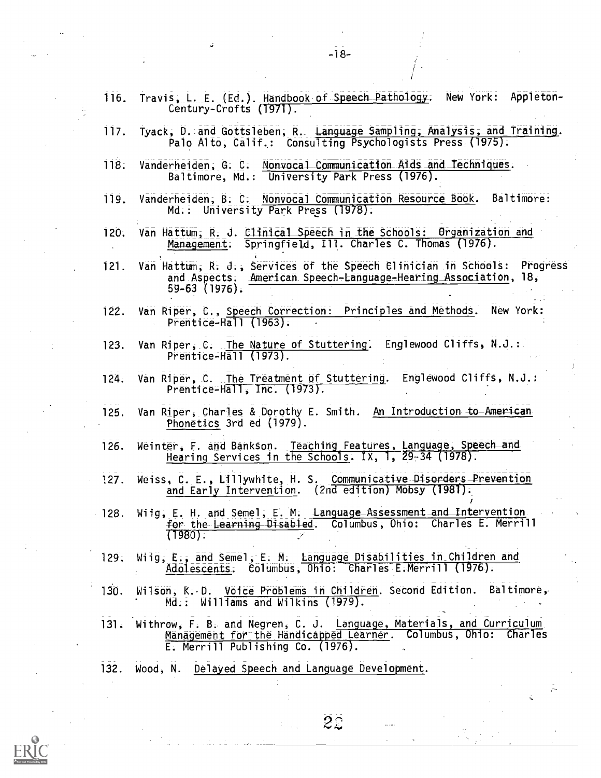|      | $-18-$                                                                                                                                                                       |
|------|------------------------------------------------------------------------------------------------------------------------------------------------------------------------------|
| 116. | Travis, L. E. (Ed.). Handbook of Speech Pathology.<br>New York: Appleton-<br>Century-Crofts (1971).                                                                          |
| 117. | Tyack, D. and Gottsleben, R. Language Sampling, Analysis, and Training.<br>Palo Alto, Calif.: Consulting Psychologists Press: (1975):                                        |
| 118. | Vanderheiden, G. C. Nonvocal Communication Aids and Techniques.<br>Baltimore, Md.: University Park Press (1976).                                                             |
| 119. | Vanderheiden, B. C. Nonvocal Communication Resource Book. Baltimore:<br>Md.: University Park Press (1978).                                                                   |
| 120. | Van Hattum, R. J. Clinical Speech in the Schools: Organization and<br>Management. Springfield, Ill. Charles C. Thomas (1976).                                                |
| 121. | Van Hattum, R. J., Services of the Speech Clinician in Schools: Progress<br>American Speech-Language-Hearing Association, 18,<br>and Aspects.<br>59-63 (1976).               |
| 122. | Van Riper, C., Speech Correction: Principles and Methods. New York:<br>Prentice-Hall $(1963)$ .                                                                              |
| 123. | Van Riper, C. The Nature of Stuttering. Englewood Cliffs, N.J.:<br>Prentice-Hall (1973).                                                                                     |
| 124. | Van Riper, C. The Treatment of Stuttering. Englewood Cliffs, N.J.:<br>Prentice-Hall, Inc. (1973).                                                                            |
| 125. | Van Riper, Charles & Dorothy E. Smith. An Introduction to American<br>Phonetics 3rd ed (1979).                                                                               |
| 126. | Weinter, F. and Bankson. Teaching Features, Language, Speech and<br>Hearing Services in the Schools. IX, 1, 29-34 (1978).                                                    |
| ?27. | Weiss, C. E., Lillywhite, H. S. Communicative Disorders Prevention<br>and Early Intervention. (2nd edition) Mobsy (1981).                                                    |
| 128. | Wiig, E. H. and Semel, E. M. Language Assessment and Intervention<br>for the Learning Disabled. Columbus, Ohio: Charles E. Merrill<br>$(1980)$ .                             |
| 129. | Wiig, E., and Semel, E. M. Language Disabilities in Children and<br>Adolescents. Columbus, Ohio: Charles E.Merrill (1976).                                                   |
| 130. | Wilson, $R - D$ . Voice Problems in Children. Second Edition. Baltimore,<br>Md.: Williams and Wilkins (1979).                                                                |
| 131. | Withrow, F. B. and Negren, C. J. Language, Materials, and Curriculum<br>Management for the Handicapped Learner. Columbus, Ohio: Charles<br>E. Merrill Publishing Co. (1976). |
| 132. | Wood, N. Delayed Speech and Language Development.                                                                                                                            |
|      | $\sim$<br>š.                                                                                                                                                                 |
|      | 22                                                                                                                                                                           |

 $\frac{1}{\sqrt{2}}$ 

 $\mathbb{C}^{\mathbb{Z}^2}$  , where  $\mathbb{C}^2$